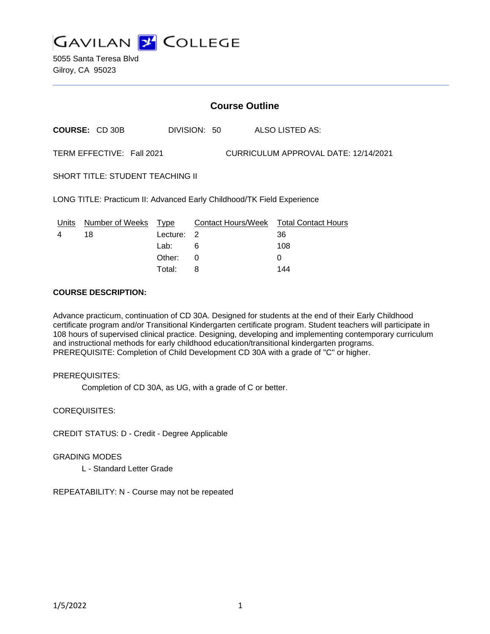

5055 Santa Teresa Blvd Gilroy, CA 95023

# **Course Outline**

**COURSE:** CD 30B DIVISION: 50 ALSO LISTED AS:

TERM EFFECTIVE: Fall 2021 CURRICULUM APPROVAL DATE: 12/14/2021

SHORT TITLE: STUDENT TEACHING II

LONG TITLE: Practicum II: Advanced Early Childhood/TK Field Experience

| Units | Number of Weeks Type |            | Contact Hours/Week Total Contact Hours |     |
|-------|----------------------|------------|----------------------------------------|-----|
| 4     | 18                   | Lecture: 2 |                                        | 36  |
|       |                      | Lab:       |                                        | 108 |
|       |                      | Other:     | - 0                                    |     |
|       |                      | Total:     |                                        | 144 |

## **COURSE DESCRIPTION:**

Advance practicum, continuation of CD 30A. Designed for students at the end of their Early Childhood certificate program and/or Transitional Kindergarten certificate program. Student teachers will participate in 108 hours of supervised clinical practice. Designing, developing and implementing contemporary curriculum and instructional methods for early childhood education/transitional kindergarten programs. PREREQUISITE: Completion of Child Development CD 30A with a grade of "C" or higher.

## PREREQUISITES:

Completion of CD 30A, as UG, with a grade of C or better.

COREQUISITES:

CREDIT STATUS: D - Credit - Degree Applicable

GRADING MODES

L - Standard Letter Grade

REPEATABILITY: N - Course may not be repeated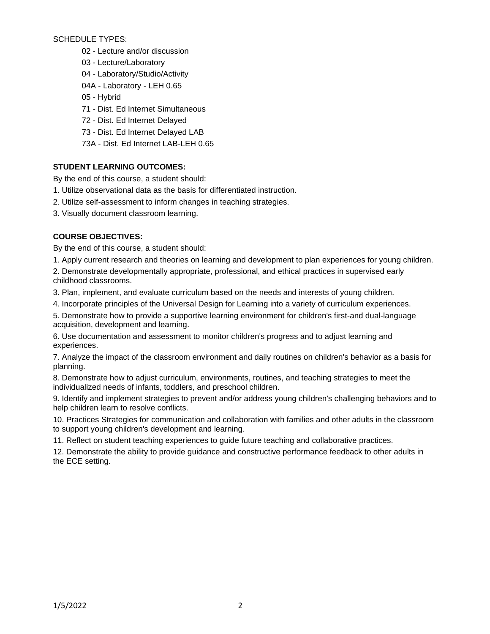# SCHEDULE TYPES:

- 02 Lecture and/or discussion
- 03 Lecture/Laboratory
- 04 Laboratory/Studio/Activity
- 04A Laboratory LEH 0.65
- 05 Hybrid
- 71 Dist. Ed Internet Simultaneous
- 72 Dist. Ed Internet Delayed
- 73 Dist. Ed Internet Delayed LAB
- 73A Dist. Ed Internet LAB-LEH 0.65

# **STUDENT LEARNING OUTCOMES:**

By the end of this course, a student should:

- 1. Utilize observational data as the basis for differentiated instruction.
- 2. Utilize self-assessment to inform changes in teaching strategies.
- 3. Visually document classroom learning.

# **COURSE OBJECTIVES:**

By the end of this course, a student should:

1. Apply current research and theories on learning and development to plan experiences for young children.

2. Demonstrate developmentally appropriate, professional, and ethical practices in supervised early childhood classrooms.

3. Plan, implement, and evaluate curriculum based on the needs and interests of young children.

4. Incorporate principles of the Universal Design for Learning into a variety of curriculum experiences.

5. Demonstrate how to provide a supportive learning environment for children's first-and dual-language acquisition, development and learning.

6. Use documentation and assessment to monitor children's progress and to adjust learning and experiences.

7. Analyze the impact of the classroom environment and daily routines on children's behavior as a basis for planning.

8. Demonstrate how to adjust curriculum, environments, routines, and teaching strategies to meet the individualized needs of infants, toddlers, and preschool children.

9. Identify and implement strategies to prevent and/or address young children's challenging behaviors and to help children learn to resolve conflicts.

10. Practices Strategies for communication and collaboration with families and other adults in the classroom to support young children's development and learning.

11. Reflect on student teaching experiences to guide future teaching and collaborative practices.

12. Demonstrate the ability to provide guidance and constructive performance feedback to other adults in the ECE setting.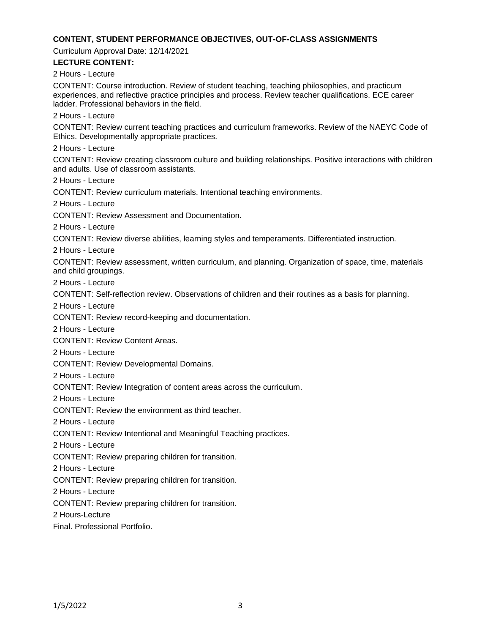### **CONTENT, STUDENT PERFORMANCE OBJECTIVES, OUT-OF-CLASS ASSIGNMENTS**

Curriculum Approval Date: 12/14/2021

### **LECTURE CONTENT:**

2 Hours - Lecture

CONTENT: Course introduction. Review of student teaching, teaching philosophies, and practicum experiences, and reflective practice principles and process. Review teacher qualifications. ECE career ladder. Professional behaviors in the field.

2 Hours - Lecture

CONTENT: Review current teaching practices and curriculum frameworks. Review of the NAEYC Code of Ethics. Developmentally appropriate practices.

2 Hours - Lecture

CONTENT: Review creating classroom culture and building relationships. Positive interactions with children and adults. Use of classroom assistants.

2 Hours - Lecture

CONTENT: Review curriculum materials. Intentional teaching environments.

2 Hours - Lecture

CONTENT: Review Assessment and Documentation.

2 Hours - Lecture

CONTENT: Review diverse abilities, learning styles and temperaments. Differentiated instruction.

2 Hours - Lecture

CONTENT: Review assessment, written curriculum, and planning. Organization of space, time, materials and child groupings.

2 Hours - Lecture

CONTENT: Self-reflection review. Observations of children and their routines as a basis for planning.

2 Hours - Lecture

CONTENT: Review record-keeping and documentation.

2 Hours - Lecture

CONTENT: Review Content Areas.

2 Hours - Lecture

CONTENT: Review Developmental Domains.

2 Hours - Lecture

CONTENT: Review Integration of content areas across the curriculum.

2 Hours - Lecture

CONTENT: Review the environment as third teacher.

2 Hours - Lecture

CONTENT: Review Intentional and Meaningful Teaching practices.

2 Hours - Lecture

CONTENT: Review preparing children for transition.

2 Hours - Lecture

CONTENT: Review preparing children for transition.

2 Hours - Lecture

CONTENT: Review preparing children for transition.

2 Hours-Lecture

Final. Professional Portfolio.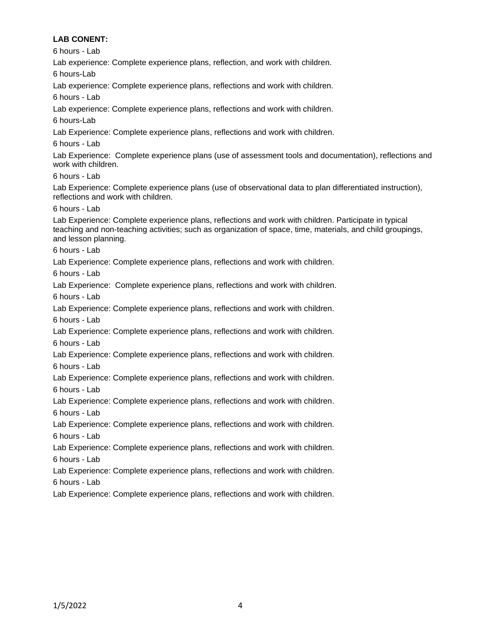# **LAB CONENT:**

6 hours - Lab

Lab experience: Complete experience plans, reflection, and work with children.

6 hours-Lab

Lab experience: Complete experience plans, reflections and work with children.

6 hours - Lab

Lab experience: Complete experience plans, reflections and work with children.

6 hours-Lab

Lab Experience: Complete experience plans, reflections and work with children.

6 hours - Lab

Lab Experience: Complete experience plans (use of assessment tools and documentation), reflections and work with children.

6 hours - Lab

Lab Experience: Complete experience plans (use of observational data to plan differentiated instruction), reflections and work with children.

6 hours - Lab

Lab Experience: Complete experience plans, reflections and work with children. Participate in typical teaching and non-teaching activities; such as organization of space, time, materials, and child groupings, and lesson planning.

6 hours - Lab

Lab Experience: Complete experience plans, reflections and work with children.

6 hours - Lab

Lab Experience: Complete experience plans, reflections and work with children.

6 hours - Lab

Lab Experience: Complete experience plans, reflections and work with children.

6 hours - Lab

Lab Experience: Complete experience plans, reflections and work with children. 6 hours - Lab

Lab Experience: Complete experience plans, reflections and work with children. 6 hours - Lab

Lab Experience: Complete experience plans, reflections and work with children. 6 hours - Lab

Lab Experience: Complete experience plans, reflections and work with children. 6 hours - Lab

Lab Experience: Complete experience plans, reflections and work with children. 6 hours - Lab

Lab Experience: Complete experience plans, reflections and work with children. 6 hours - Lab

Lab Experience: Complete experience plans, reflections and work with children. 6 hours - Lab

Lab Experience: Complete experience plans, reflections and work with children.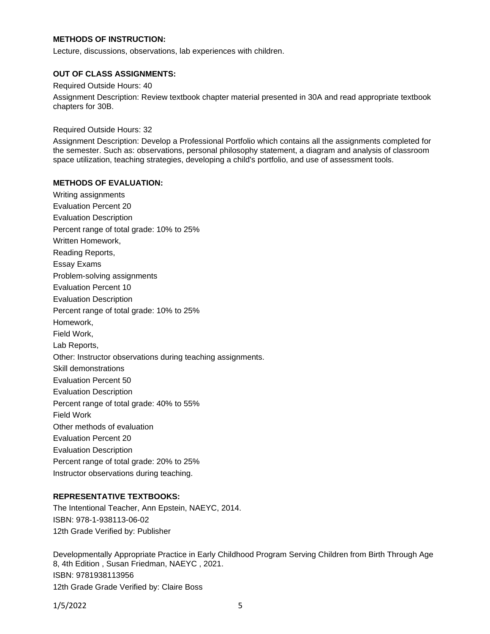## **METHODS OF INSTRUCTION:**

Lecture, discussions, observations, lab experiences with children.

#### **OUT OF CLASS ASSIGNMENTS:**

Required Outside Hours: 40

Assignment Description: Review textbook chapter material presented in 30A and read appropriate textbook chapters for 30B.

Required Outside Hours: 32

Assignment Description: Develop a Professional Portfolio which contains all the assignments completed for the semester. Such as: observations, personal philosophy statement, a diagram and analysis of classroom space utilization, teaching strategies, developing a child's portfolio, and use of assessment tools.

### **METHODS OF EVALUATION:**

Writing assignments Evaluation Percent 20 Evaluation Description Percent range of total grade: 10% to 25% Written Homework, Reading Reports, Essay Exams Problem-solving assignments Evaluation Percent 10 Evaluation Description Percent range of total grade: 10% to 25% Homework, Field Work, Lab Reports, Other: Instructor observations during teaching assignments. Skill demonstrations Evaluation Percent 50 Evaluation Description Percent range of total grade: 40% to 55% Field Work Other methods of evaluation Evaluation Percent 20 Evaluation Description Percent range of total grade: 20% to 25% Instructor observations during teaching.

## **REPRESENTATIVE TEXTBOOKS:**

The Intentional Teacher, Ann Epstein, NAEYC, 2014. ISBN: 978-1-938113-06-02 12th Grade Verified by: Publisher

Developmentally Appropriate Practice in Early Childhood Program Serving Children from Birth Through Age 8, 4th Edition , Susan Friedman, NAEYC , 2021. ISBN: 9781938113956 12th Grade Grade Verified by: Claire Boss

1/5/2022 5